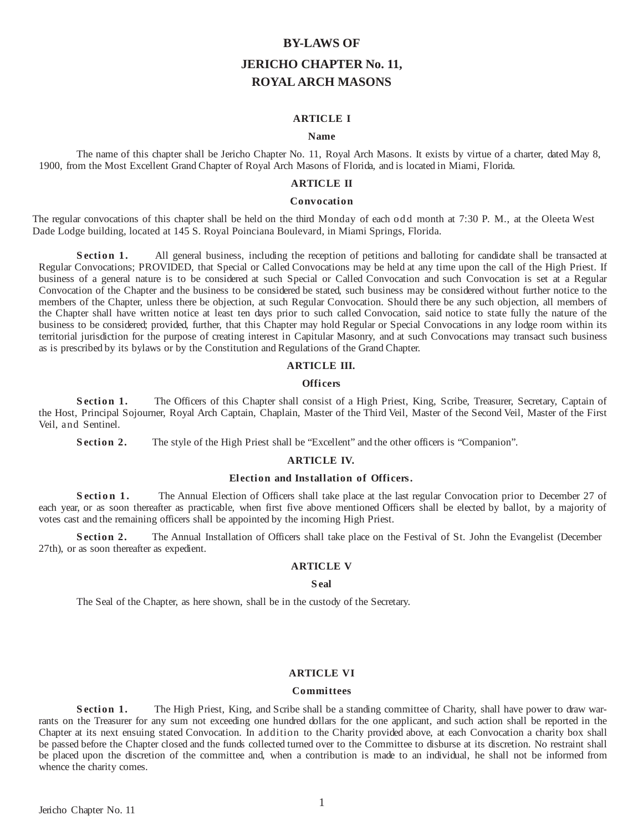# **BY-LAWS OF JERICHO CHAPTER No. 11, ROYAL ARCH MASONS**

# **ARTICLE I**

#### **Name**

The name of this chapter shall be Jericho Chapter No. 11, Royal Arch Masons. It exists by virtue of a charter, dated May 8, 1900, from the Most Excellent Grand Chapter of Royal Arch Masons of Florida, and is located in Miami, Florida.

# **ARTICLE II**

## **Convocation**

The regular convocations of this chapter shall be held on the third Monday of each odd month at 7:30 P. M., at the Oleeta West Dade Lodge building, located at 145 S. Royal Poinciana Boulevard, in Miami Springs, Florida.

**Section 1.** All general business, including the reception of petitions and balloting for candidate shall be transacted at Regular Convocations; PROVIDED, that Special or Called Convocations may be held at any time upon the call of the High Priest. If business of a general nature is to be considered at such Special or Called Convocation and such Convocation is set at a Regular Convocation of the Chapter and the business to be considered be stated, such business may be considered without further notice to the members of the Chapter, unless there be objection, at such Regular Convocation. Should there be any such objection, all members of the Chapter shall have written notice at least ten days prior to such called Convocation, said notice to state fully the nature of the business to be considered; provided, further, that this Chapter may hold Regular or Special Convocations in any lodge room within its territorial jurisdiction for the purpose of creating interest in Capitular Masonry, and at such Convocations may transact such business as is prescribed by its bylaws or by the Constitution and Regulations of the Grand Chapter.

#### **ARTICLE III.**

# **Offi cers**

**Section 1.** The Officers of this Chapter shall consist of a High Priest, King, Scribe, Treasurer, Secretary, Captain of the Host, Principal Sojourner, Royal Arch Captain, Chaplain, Master of the Third Veil, Master of the Second Veil, Master of the First Veil, and Sentinel.

**Section 2.** The style of the High Priest shall be "Excellent" and the other officers is "Companion".

#### **ARTICLE IV.**

## **El ection and Installation of Offi cers.**

**Section 1.** The Annual Election of Officers shall take place at the last regular Convocation prior to December 27 of each year, or as soon thereafter as practicable, when first five above mentioned Officers shall be elected by ballot, by a majority of votes cast and the remaining officers shall be appointed by the incoming High Priest.

**Section 2.** The Annual Installation of Officers shall take place on the Festival of St. John the Evangelist (December 27th), or as soon thereafter as expedient.

## **ARTICLE V**

#### **S eal**

The Seal of the Chapter, as here shown, shall be in the custody of the Secretary.

#### **ARTICLE VI**

#### **Committees**

**Section 1.** The High Priest, King, and Scribe shall be a standing committee of Charity, shall have power to draw warrants on the Treasurer for any sum not exceeding one hundred dollars for the one applicant, and such action shall be reported in the Chapter at its next ensuing stated Convocation. In addition to the Charity provided above, at each Convocation a charity box shall be passed before the Chapter closed and the funds collected turned over to the Committee to disburse at its discretion. No restraint shall be placed upon the discretion of the committee and, when a contribution is made to an individual, he shall not be informed from whence the charity comes.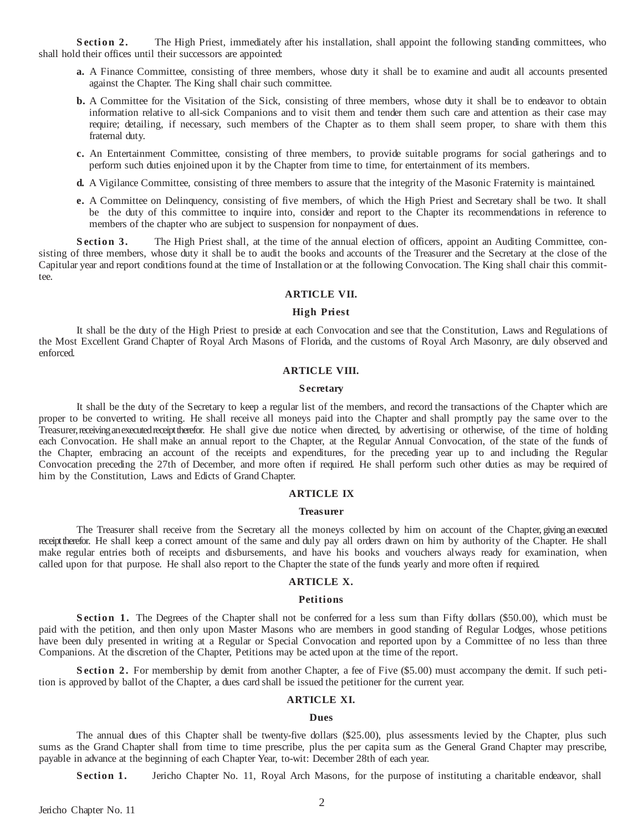**Section 2.** The High Priest, immediately after his installation, shall appoint the following standing committees, who shall hold their offices until their successors are appointed:

- **a.** A Finance Committee, consisting of three members, whose duty it shall be to examine and audit all accounts presented against the Chapter. The King shall chair such committee.
- **b.** A Committee for the Visitation of the Sick, consisting of three members, whose duty it shall be to endeavor to obtain information relative to all-sick Companions and to visit them and tender them such care and attention as their case may require; detailing, if necessary, such members of the Chapter as to them shall seem proper, to share with them this fraternal duty.
- **c.** An Entertainment Committee, consisting of three members, to provide suitable programs for social gatherings and to perform such duties enjoined upon it by the Chapter from time to time, for entertainment of its members.
- **d.** A Vigilance Committee, consisting of three members to assure that the integrity of the Masonic Fraternity is maintained.
- **e.** A Committee on Delinquency, consisting of five members, of which the High Priest and Secretary shall be two. It shall be the duty of this committee to inquire into, consider and report to the Chapter its recommendations in reference to members of the chapter who are subject to suspension for nonpayment of dues.

**Section 3.** The High Priest shall, at the time of the annual election of officers, appoint an Auditing Committee, consisting of three members, whose duty it shall be to audit the books and accounts of the Treasurer and the Secretary at the close of the Capitular year and report conditions found at the time of Installation or at the following Convocation. The King shall chair this committee.

# **ARTICLE VII.**

# **High Pri est**

It shall be the duty of the High Priest to preside at each Convocation and see that the Constitution, Laws and Regulations of the Most Excellent Grand Chapter of Royal Arch Masons of Florida, and the customs of Royal Arch Masonry, are duly observed and enforced.

# **ARTICLE VIII.**

## **S ecretary**

It shall be the duty of the Secretary to keep a regular list of the members, and record the transactions of the Chapter which are proper to be converted to writing. He shall receive all moneys paid into the Chapter and shall promptly pay the same over to the Treasurer, receiving an executed receipt therefor. He shall give due notice when directed, by advertising or otherwise, of the time of holding each Convocation. He shall make an annual report to the Chapter, at the Regular Annual Convocation, of the state of the funds of the Chapter, embracing an account of the receipts and expenditures, for the preceding year up to and including the Regular Convocation preceding the 27th of December, and more often if required. He shall perform such other duties as may be required of him by the Constitution, Laws and Edicts of Grand Chapter.

## **ARTICLE IX**

#### **Treasurer**

The Treasurer shall receive from the Secretary all the moneys collected by him on account of the Chapter, giving an executed receipt therefor. He shall keep a correct amount of the same and duly pay all orders drawn on him by authority of the Chapter. He shall make regular entries both of receipts and disbursements, and have his books and vouchers always ready for examination, when called upon for that purpose. He shall also report to the Chapter the state of the funds yearly and more often if required.

# **ARTICLE X.**

## **Petitions**

**Section 1.** The Degrees of the Chapter shall not be conferred for a less sum than Fifty dollars (\$50.00), which must be paid with the petition, and then only upon Master Masons who are members in good standing of Regular Lodges, whose petitions have been duly presented in writing at a Regular or Special Convocation and reported upon by a Committee of no less than three Companions. At the discretion of the Chapter, Petitions may be acted upon at the time of the report.

**S ection 2.** For membership by demit from another Chapter, a fee of Five (\$5.00) must accompany the demit. If such petition is approved by ballot of the Chapter, a dues card shall be issued the petitioner for the current year.

# **ARTICLE XI.**

#### **Dues**

The annual dues of this Chapter shall be twenty-five dollars (\$25.00), plus assessments levied by the Chapter, plus such sums as the Grand Chapter shall from time to time prescribe, plus the per capita sum as the General Grand Chapter may prescribe, payable in advance at the beginning of each Chapter Year, to-wit: December 28th of each year.

**Section 1.** Jericho Chapter No. 11, Royal Arch Masons, for the purpose of instituting a charitable endeavor, shall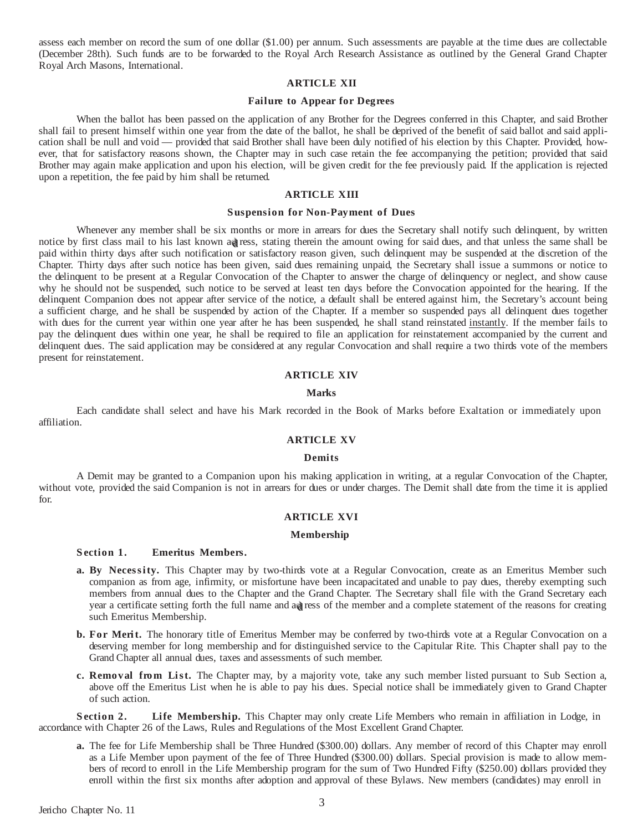assess each member on record the sum of one dollar (\$1.00) per annum. Such assessments are payable at the time dues are collectable (December 28th). Such funds are to be forwarded to the Royal Arch Research Assistance as outlined by the General Grand Chapter Royal Arch Masons, International.

# **ARTICLE XII**

# **Failure to Appear for Degrees**

When the ballot has been passed on the application of any Brother for the Degrees conferred in this Chapter, and said Brother shall fail to present himself within one year from the date of the ballot, he shall be deprived of the benefit of said ballot and said application shall be null and void — provided that said Brother shall have been duly notified of his election by this Chapter. Provided, however, that for satisfactory reasons shown, the Chapter may in such case retain the fee accompanying the petition; provided that said Brother may again make application and upon his election, will be given credit for the fee previously paid. If the application is rejected upon a repetition, the fee paid by him shall be returned.

## **ARTICLE XIII**

## **Suspension for Non-Payment of Dues**

Whenever any member shall be six months or more in arrears for dues the Secretary shall notify such delinquent, by written notice by first class mail to his last known ad ress, stating therein the amount owing for said dues, and that unless the same shall be paid within thirty days after such notification or satisfactory reason given, such delinquent may be suspended at the discretion of the Chapter. Thirty days after such notice has been given, said dues remaining unpaid, the Secretary shall issue a summons or notice to the delinquent to be present at a Regular Convocation of the Chapter to answer the charge of delinquency or neglect, and show cause why he should not be suspended, such notice to be served at least ten days before the Convocation appointed for the hearing. If the delinquent Companion does not appear after service of the notice, a default shall be entered against him, the Secretary's account being a sufficient charge, and he shall be suspended by action of the Chapter. If a member so suspended pays all delinquent dues together with dues for the current year within one year after he has been suspended, he shall stand reinstated instantly. If the member fails to pay the delinquent dues within one year, he shall be required to file an application for reinstatement accompanied by the current and delinquent dues. The said application may be considered at any regular Convocation and shall require a two thirds vote of the members present for reinstatement.

# **ARTICLE XIV**

#### **Marks**

Each candidate shall select and have his Mark recorded in the Book of Marks before Exaltation or immediately upon affiliation.

# **ARTICLE XV**

#### **Demits**

A Demit may be granted to a Companion upon his making application in writing, at a regular Convocation of the Chapter, without vote, provided the said Companion is not in arrears for dues or under charges. The Demit shall date from the time it is applied for.

## **ARTICLE XVI**

## **Membership**

## **S ection 1. Emeritus Members.**

- **a. By Necessity.** This Chapter may by two-thirds vote at a Regular Convocation, create as an Emeritus Member such companion as from age, infirmity, or misfortune have been incapacitated and unable to pay dues, thereby exempting such members from annual dues to the Chapter and the Grand Chapter. The Secretary shall file with the Grand Secretary each year a certificate setting forth the full name and add ress of the member and a complete statement of the reasons for creating such Emeritus Membership.
- **b. For Merit.** The honorary title of Emeritus Member may be conferred by two-thirds vote at a Regular Convocation on a deserving member for long membership and for distinguished service to the Capitular Rite. This Chapter shall pay to the Grand Chapter all annual dues, taxes and assessments of such member.
- **c. Removal from List.** The Chapter may, by a majority vote, take any such member listed pursuant to Sub Section a, above off the Emeritus List when he is able to pay his dues. Special notice shall be immediately given to Grand Chapter of such action.

**S ection 2. Life Membership.** This Chapter may only create Life Members who remain in affiliation in Lodge, in accordance with Chapter 26 of the Laws, Rules and Regulations of the Most Excellent Grand Chapter.

**a.** The fee for Life Membership shall be Three Hundred (\$300.00) dollars. Any member of record of this Chapter may enroll as a Life Member upon payment of the fee of Three Hundred (\$300.00) dollars. Special provision is made to allow members of record to enroll in the Life Membership program for the sum of Two Hundred Fifty (\$250.00) dollars provided they enroll within the first six months after adoption and approval of these Bylaws. New members (candidates) may enroll in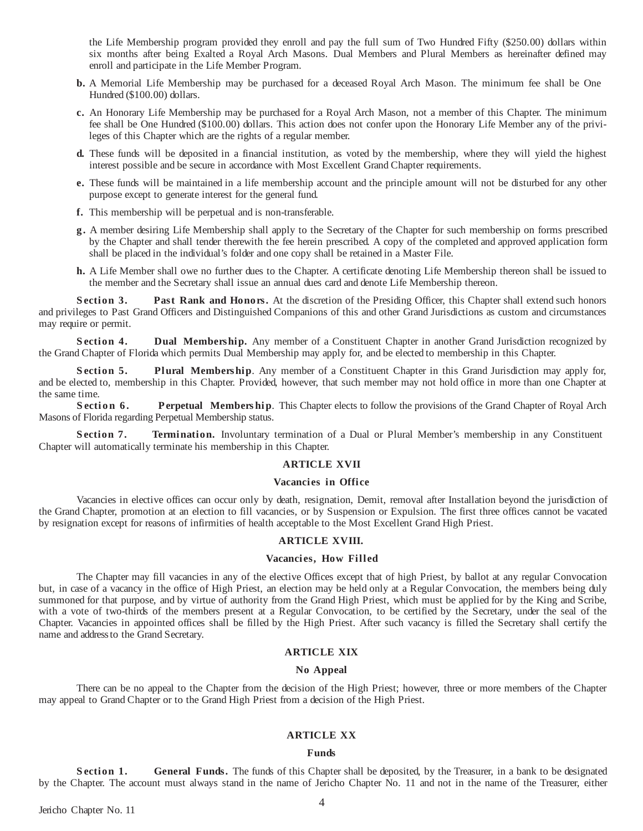the Life Membership program provided they enroll and pay the full sum of Two Hundred Fifty (\$250.00) dollars within six months after being Exalted a Royal Arch Masons. Dual Members and Plural Members as hereinafter defined may enroll and participate in the Life Member Program.

- **b.** A Memorial Life Membership may be purchased for a deceased Royal Arch Mason. The minimum fee shall be One Hundred (\$100.00) dollars.
- **c.** An Honorary Life Membership may be purchased for a Royal Arch Mason, not a member of this Chapter. The minimum fee shall be One Hundred (\$100.00) dollars. This action does not confer upon the Honorary Life Member any of the privileges of this Chapter which are the rights of a regular member.
- **d.** These funds will be deposited in a financial institution, as voted by the membership, where they will yield the highest interest possible and be secure in accordance with Most Excellent Grand Chapter requirements.
- **e.** These funds will be maintained in a life membership account and the principle amount will not be disturbed for any other purpose except to generate interest for the general fund.
- **f.** This membership will be perpetual and is non-transferable.
- **g.** A member desiring Life Membership shall apply to the Secretary of the Chapter for such membership on forms prescribed by the Chapter and shall tender therewith the fee herein prescribed. A copy of the completed and approved application form shall be placed in the individual's folder and one copy shall be retained in a Master File.
- **h.** A Life Member shall owe no further dues to the Chapter. A certificate denoting Life Membership thereon shall be issued to the member and the Secretary shall issue an annual dues card and denote Life Membership thereon.

**S ection 3. Past Rank and Honors.** At the discretion of the Presiding Officer, this Chapter shall extend such honors and privileges to Past Grand Officers and Distinguished Companions of this and other Grand Jurisdictions as custom and circumstances may require or permit.

**Section 4. Dual Membership.** Any member of a Constituent Chapter in another Grand Jurisdiction recognized by the Grand Chapter of Florida which permits Dual Membership may apply for, and be elected to membership in this Chapter.

**S ection 5. Plural Membership**. Any member of a Constituent Chapter in this Grand Jurisdiction may apply for, and be elected to, membership in this Chapter. Provided, however, that such member may not hold office in more than one Chapter at the same time.

**Section 6.** Perpetual Membership. This Chapter elects to follow the provisions of the Grand Chapter of Royal Arch Masons of Florida regarding Perpetual Membership status.

**S ection 7. Termination.** Involuntary termination of a Dual or Plural Member's membership in any Constituent Chapter will automatically terminate his membership in this Chapter.

## **ARTICLE XVII**

#### **Vacanci es in Offi ce**

Vacancies in elective offices can occur only by death, resignation, Demit, removal after Installation beyond the jurisdiction of the Grand Chapter, promotion at an election to fill vacancies, or by Suspension or Expulsion. The first three offices cannot be vacated by resignation except for reasons of infirmities of health acceptable to the Most Excellent Grand High Priest.

#### **ARTICLE XVIII.**

#### **Vacanci es, How Fill ed**

The Chapter may fill vacancies in any of the elective Offices except that of high Priest, by ballot at any regular Convocation but, in case of a vacancy in the office of High Priest, an election may be held only at a Regular Convocation, the members being duly summoned for that purpose, and by virtue of authority from the Grand High Priest, which must be applied for by the King and Scribe, with a vote of two-thirds of the members present at a Regular Convocation, to be certified by the Secretary, under the seal of the Chapter. Vacancies in appointed offices shall be filled by the High Priest. After such vacancy is filled the Secretary shall certify the name and address to the Grand Secretary.

# **ARTICLE XIX**

## **No Appeal**

There can be no appeal to the Chapter from the decision of the High Priest; however, three or more members of the Chapter may appeal to Grand Chapter or to the Grand High Priest from a decision of the High Priest.

# **ARTICLE XX**

#### **Funds**

**Section 1.** General Funds. The funds of this Chapter shall be deposited, by the Treasurer, in a bank to be designated by the Chapter. The account must always stand in the name of Jericho Chapter No. 11 and not in the name of the Treasurer, either